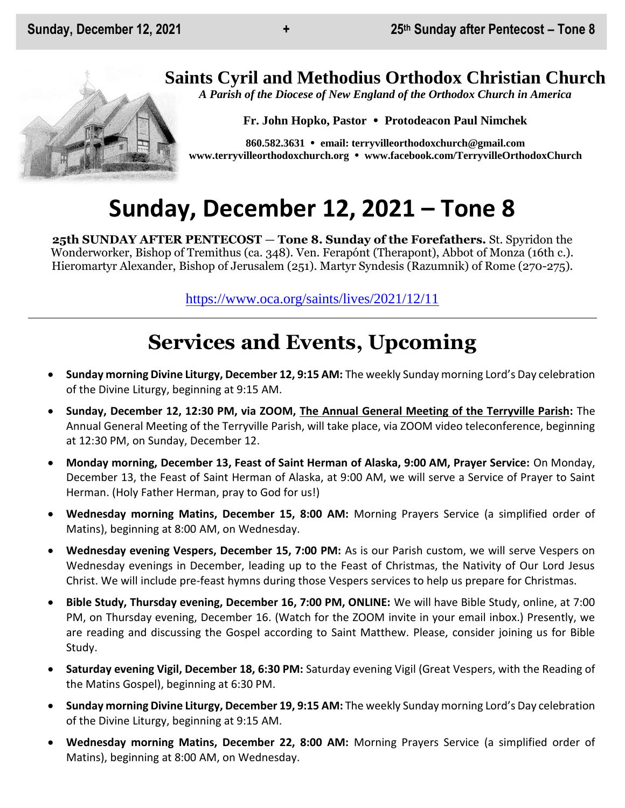### **Saints Cyril and Methodius Orthodox Christian Church**

*A Parish of the Diocese of New England of the Orthodox Church in America*

**Fr. John Hopko, Pastor Protodeacon Paul Nimchek**

**860.582.3631 email: [terryvilleorthodoxchurch@gmail.com](mailto:saintcyril@snet.net) [www.terryvilleorthodoxchurch.org](http://www.terryvilleorthodoxchurch.org/) [www.facebook.com/TerryvilleOrthodoxChurch](http://www.facebook.com/TerryvilleOrthodoxChurch)**

# **Sunday, December 12, 2021 – Tone 8**

**25th SUNDAY AFTER PENTECOST** — **Tone 8. Sunday of the Forefathers.** St. Spyridon the Wonderworker, Bishop of Tremithus (ca. 348). Ven. Ferapónt (Therapont), Abbot of Monza (16th c.). Hieromartyr Alexander, Bishop of Jerusalem (251). Martyr Syndesis (Razumnik) of Rome (270-275).

<https://www.oca.org/saints/lives/2021/12/11>

## **Services and Events, Upcoming**

- **Sunday morning Divine Liturgy, December 12, 9:15 AM:** The weekly Sunday morning Lord's Day celebration of the Divine Liturgy, beginning at 9:15 AM.
- **Sunday, December 12, 12:30 PM, via ZOOM, The Annual General Meeting of the Terryville Parish:** The Annual General Meeting of the Terryville Parish, will take place, via ZOOM video teleconference, beginning at 12:30 PM, on Sunday, December 12.
- **Monday morning, December 13, Feast of Saint Herman of Alaska, 9:00 AM, Prayer Service:** On Monday, December 13, the Feast of Saint Herman of Alaska, at 9:00 AM, we will serve a Service of Prayer to Saint Herman. (Holy Father Herman, pray to God for us!)
- **Wednesday morning Matins, December 15, 8:00 AM:** Morning Prayers Service (a simplified order of Matins), beginning at 8:00 AM, on Wednesday.
- **Wednesday evening Vespers, December 15, 7:00 PM:** As is our Parish custom, we will serve Vespers on Wednesday evenings in December, leading up to the Feast of Christmas, the Nativity of Our Lord Jesus Christ. We will include pre-feast hymns during those Vespers services to help us prepare for Christmas.
- **Bible Study, Thursday evening, December 16, 7:00 PM, ONLINE:** We will have Bible Study, online, at 7:00 PM, on Thursday evening, December 16. (Watch for the ZOOM invite in your email inbox.) Presently, we are reading and discussing the Gospel according to Saint Matthew. Please, consider joining us for Bible Study.
- **Saturday evening Vigil, December 18, 6:30 PM:** Saturday evening Vigil (Great Vespers, with the Reading of the Matins Gospel), beginning at 6:30 PM.
- **Sunday morning Divine Liturgy, December 19, 9:15 AM:** The weekly Sunday morning Lord's Day celebration of the Divine Liturgy, beginning at 9:15 AM.
- **Wednesday morning Matins, December 22, 8:00 AM:** Morning Prayers Service (a simplified order of Matins), beginning at 8:00 AM, on Wednesday.



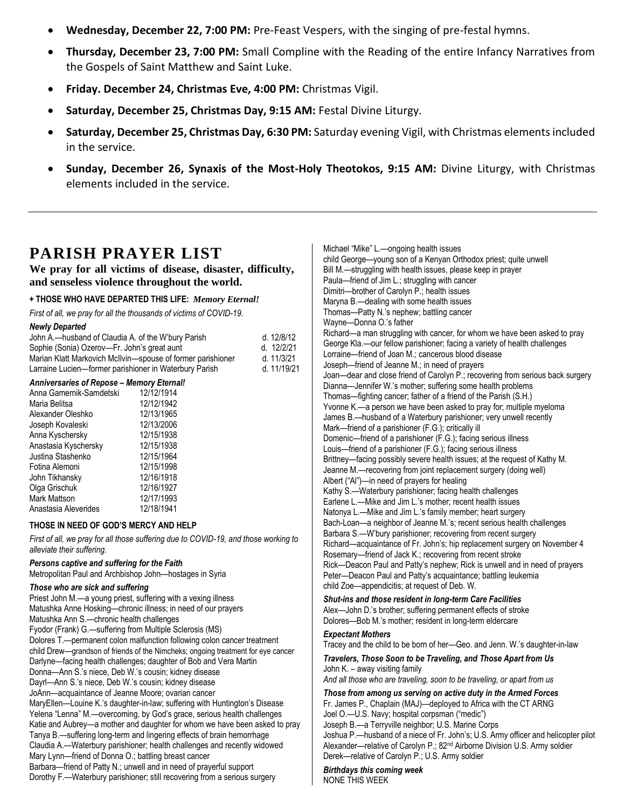- **Wednesday, December 22, 7:00 PM:** Pre-Feast Vespers, with the singing of pre-festal hymns.
- **Thursday, December 23, 7:00 PM:** Small Compline with the Reading of the entire Infancy Narratives from the Gospels of Saint Matthew and Saint Luke.
- **Friday. December 24, Christmas Eve, 4:00 PM:** Christmas Vigil.
- **Saturday, December 25, Christmas Day, 9:15 AM:** Festal Divine Liturgy.
- **Saturday, December 25, Christmas Day, 6:30 PM:** Saturday evening Vigil, with Christmas elements included in the service.
- **Sunday, December 26, Synaxis of the Most-Holy Theotokos, 9:15 AM:** Divine Liturgy, with Christmas elements included in the service.

### **PARISH PRAYER LIST**

**We pray for all victims of disease, disaster, difficulty, and senseless violence throughout the world.**

#### **+ THOSE WHO HAVE DEPARTED THIS LIFE:** *Memory Eternal!*

*First of all, we pray for all the thousands of victims of COVID-19.* 

#### *Newly Departed*

| John A.—husband of Claudia A. of the W'bury Parish          | d. 12/8/12   |
|-------------------------------------------------------------|--------------|
| Sophie (Sonia) Ozerov-Fr. John's great aunt                 | d. 12/2/21   |
| Marian Klatt Markovich McIlvin-spouse of former parishioner | d. $11/3/21$ |
| Larraine Lucien-former parishioner in Waterbury Parish      | d. 11/19/21  |

#### *Anniversaries of Repose – Memory Eternal!*

| Anna Gamernik-Samdetski | 12/12/1914 |
|-------------------------|------------|
| Maria Belitsa           | 12/12/1942 |
| Alexander Oleshko       | 12/13/1965 |
| Joseph Kovaleski        | 12/13/2006 |
| Anna Kyschersky         | 12/15/1938 |
| Anastasia Kyschersky    | 12/15/1938 |
| Justina Stashenko       | 12/15/1964 |
| Fotina Alemoni          | 12/15/1998 |
| John Tikhansky          | 12/16/1918 |
| Olga Grischuk           | 12/16/1927 |
| Mark Mattson            | 12/17/1993 |
| Anastasia Aleverides    | 12/18/1941 |

#### **THOSE IN NEED OF GOD'S MERCY AND HELP**

*First of all, we pray for all those suffering due to COVID-19, and those working to alleviate their suffering.*

#### *Persons captive and suffering for the Faith*

Metropolitan Paul and Archbishop John—hostages in Syria

#### *Those who are sick and suffering*

Priest John M.—a young priest, suffering with a vexing illness Matushka Anne Hosking—chronic illness; in need of our prayers Matushka Ann S.—chronic health challenges Fyodor (Frank) G.—suffering from Multiple Sclerosis (MS) Dolores T.—permanent colon malfunction following colon cancer treatment child Drew—grandson of friends of the Nimcheks; ongoing treatment for eye cancer Darlyne—facing health challenges; daughter of Bob and Vera Martin Donna—Ann S.'s niece, Deb W.'s cousin; kidney disease Dayrl—Ann S.'s niece, Deb W.'s cousin; kidney disease JoAnn—acquaintance of Jeanne Moore; ovarian cancer MaryEllen—Louine K.'s daughter-in-law; suffering with Huntington's Disease Yelena "Lenna" M.—overcoming, by God's grace, serious health challenges Katie and Aubrey—a mother and daughter for whom we have been asked to pray Tanya B.—suffering long-term and lingering effects of brain hemorrhage Claudia A.—Waterbury parishioner; health challenges and recently widowed Mary Lynn—friend of Donna O.; battling breast cancer Barbara—friend of Patty N.; unwell and in need of prayerful support Dorothy F.—Waterbury parishioner; still recovering from a serious surgery

| Michael "Mike" L.-ongoing health issues<br>child George-young son of a Kenyan Orthodox priest; quite unwell<br>Bill M.-struggling with health issues, please keep in prayer<br>Paula-friend of Jim L.; struggling with cancer<br>Dimitri-brother of Carolyn P.; health issues<br>Maryna B.-dealing with some health issues<br>Thomas-Patty N.'s nephew; battling cancer<br>Wayne-Donna O.'s father<br>Richard-a man struggling with cancer, for whom we have been asked to pray<br>George Kla.--our fellow parishioner; facing a variety of health challenges<br>Lorraine-friend of Joan M.; cancerous blood disease<br>Joseph-friend of Jeanne M.; in need of prayers<br>Joan-dear and close friend of Carolyn P.; recovering from serious back surgery<br>Dianna-Jennifer W.'s mother; suffering some health problems<br>Thomas-fighting cancer; father of a friend of the Parish (S.H.)<br>Yvonne K.-a person we have been asked to pray for; multiple myeloma<br>James B.-husband of a Waterbury parishioner; very unwell recently<br>Mark-friend of a parishioner (F.G.); critically ill<br>Domenic-friend of a parishioner (F.G.); facing serious illness<br>Louis-friend of a parishioner (F.G.); facing serious illness<br>Brittney-facing possibly severe health issues; at the request of Kathy M.<br>Jeanne M.-recovering from joint replacement surgery (doing well)<br>Albert ("Al")-in need of prayers for healing<br>Kathy S.-Waterbury parishioner; facing health challenges<br>Earlene L.-Mike and Jim L.'s mother; recent health issues<br>Natonya L.-Mike and Jim L.'s family member; heart surgery<br>Bach-Loan-a neighbor of Jeanne M.'s; recent serious health challenges<br>Barbara S.-W'bury parishioner; recovering from recent surgery<br>Richard-acquaintance of Fr. John's; hip replacement surgery on November 4 |
|-----------------------------------------------------------------------------------------------------------------------------------------------------------------------------------------------------------------------------------------------------------------------------------------------------------------------------------------------------------------------------------------------------------------------------------------------------------------------------------------------------------------------------------------------------------------------------------------------------------------------------------------------------------------------------------------------------------------------------------------------------------------------------------------------------------------------------------------------------------------------------------------------------------------------------------------------------------------------------------------------------------------------------------------------------------------------------------------------------------------------------------------------------------------------------------------------------------------------------------------------------------------------------------------------------------------------------------------------------------------------------------------------------------------------------------------------------------------------------------------------------------------------------------------------------------------------------------------------------------------------------------------------------------------------------------------------------------------------------------------------------------------------------------------------------------------------------------------------|
| Rosemary-friend of Jack K.; recovering from recent stroke<br>Rick-Deacon Paul and Patty's nephew; Rick is unwell and in need of prayers<br>Peter-Deacon Paul and Patty's acquaintance; battling leukemia<br>child Zoe—appendicitis; at request of Deb. W.                                                                                                                                                                                                                                                                                                                                                                                                                                                                                                                                                                                                                                                                                                                                                                                                                                                                                                                                                                                                                                                                                                                                                                                                                                                                                                                                                                                                                                                                                                                                                                                     |
| Shut-ins and those resident in long-term Care Facilities<br>Alex—John D.'s brother; suffering permanent effects of stroke<br>Dolores-Bob M.'s mother; resident in long-term eldercare                                                                                                                                                                                                                                                                                                                                                                                                                                                                                                                                                                                                                                                                                                                                                                                                                                                                                                                                                                                                                                                                                                                                                                                                                                                                                                                                                                                                                                                                                                                                                                                                                                                         |
| <b>Expectant Mothers</b><br>Tracey and the child to be born of her-Geo. and Jenn. W.'s daughter-in-law                                                                                                                                                                                                                                                                                                                                                                                                                                                                                                                                                                                                                                                                                                                                                                                                                                                                                                                                                                                                                                                                                                                                                                                                                                                                                                                                                                                                                                                                                                                                                                                                                                                                                                                                        |
| Travelers, Those Soon to be Traveling, and Those Apart from Us<br>John K. - away visiting family<br>And all those who are traveling, soon to be traveling, or apart from us                                                                                                                                                                                                                                                                                                                                                                                                                                                                                                                                                                                                                                                                                                                                                                                                                                                                                                                                                                                                                                                                                                                                                                                                                                                                                                                                                                                                                                                                                                                                                                                                                                                                   |
| Those from among us serving on active duty in the Armed Forces<br>Fr. James P., Chaplain (MAJ)-deployed to Africa with the CT ARNG<br>Joel O.-U.S. Navy; hospital corpsman ("medic")<br>Joseph B.-a Terryville neighbor; U.S. Marine Corps<br>Joshua P.-husband of a niece of Fr. John's; U.S. Army officer and helicopter pilot<br>Alexander-relative of Carolyn P.; 82 <sup>nd</sup> Airborne Division U.S. Army soldier<br>Derek-relative of Carolyn P.; U.S. Army soldier                                                                                                                                                                                                                                                                                                                                                                                                                                                                                                                                                                                                                                                                                                                                                                                                                                                                                                                                                                                                                                                                                                                                                                                                                                                                                                                                                                 |
| <b>Birthdays this coming week</b><br>NONE THIS WEEK                                                                                                                                                                                                                                                                                                                                                                                                                                                                                                                                                                                                                                                                                                                                                                                                                                                                                                                                                                                                                                                                                                                                                                                                                                                                                                                                                                                                                                                                                                                                                                                                                                                                                                                                                                                           |